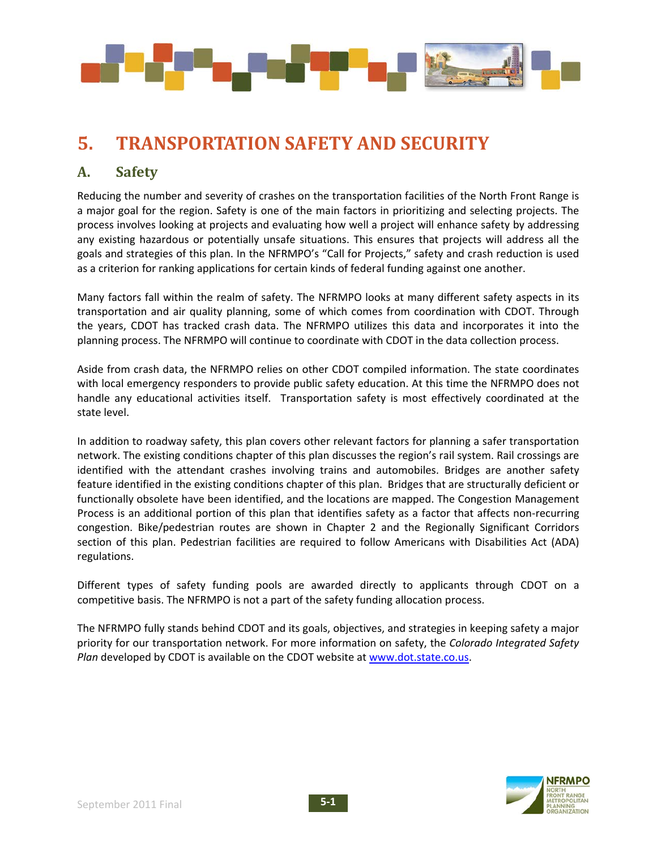

# **5. TRANSPORTATION SAFETY AND SECURITY**

# **A. Safety**

Reducing the number and severity of crashes on the transportation facilities of the North Front Range is a major goal for the region. Safety is one of the main factors in prioritizing and selecting projects. The process involves looking at projects and evaluating how well a project will enhance safety by addressing any existing hazardous or potentially unsafe situations. This ensures that projects will address all the goals and strategies of this plan. In the NFRMPO's "Call for Projects," safety and crash reduction is used as a criterion for ranking applications for certain kinds of federal funding against one another.

Many factors fall within the realm of safety. The NFRMPO looks at many different safety aspects in its transportation and air quality planning, some of which comes from coordination with CDOT. Through the years, CDOT has tracked crash data. The NFRMPO utilizes this data and incorporates it into the planning process. The NFRMPO will continue to coordinate with CDOT in the data collection process.

Aside from crash data, the NFRMPO relies on other CDOT compiled information. The state coordinates with local emergency responders to provide public safety education. At this time the NFRMPO does not handle any educational activities itself. Transportation safety is most effectively coordinated at the state level.

In addition to roadway safety, this plan covers other relevant factors for planning a safer transportation network. The existing conditions chapter of this plan discusses the region's rail system. Rail crossings are identified with the attendant crashes involving trains and automobiles. Bridges are another safety feature identified in the existing conditions chapter of this plan. Bridges that are structurally deficient or functionally obsolete have been identified, and the locations are mapped. The Congestion Management Process is an additional portion of this plan that identifies safety as a factor that affects non‐recurring congestion. Bike/pedestrian routes are shown in Chapter 2 and the Regionally Significant Corridors section of this plan. Pedestrian facilities are required to follow Americans with Disabilities Act (ADA) regulations.

Different types of safety funding pools are awarded directly to applicants through CDOT on a competitive basis. The NFRMPO is not a part of the safety funding allocation process.

The NFRMPO fully stands behind CDOT and its goals, objectives, and strategies in keeping safety a major priority for our transportation network. For more information on safety, the *Colorado Integrated Safety Plan* developed by CDOT is available on the CDOT website at www.dot.state.co.us.

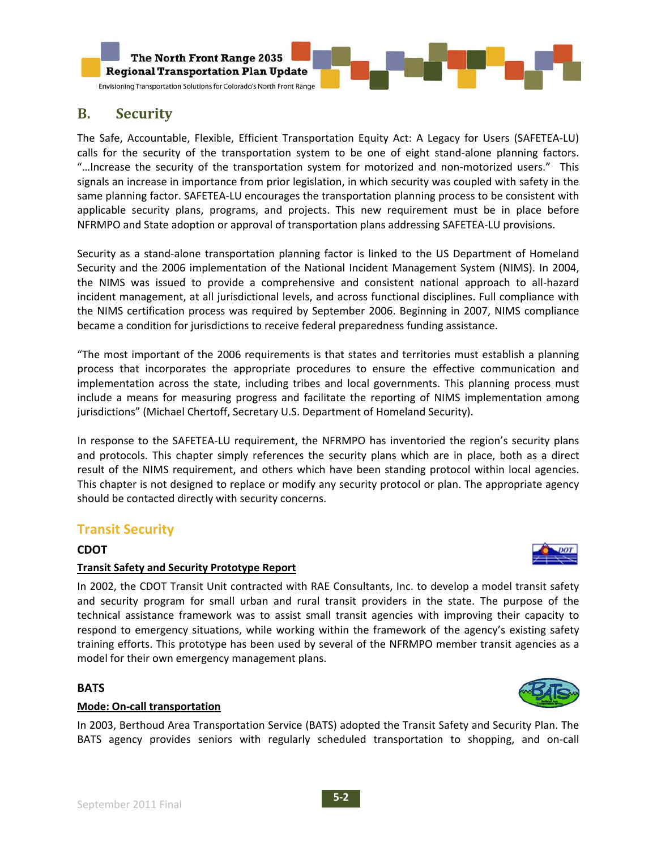

# **B. Security**

The Safe, Accountable, Flexible, Efficient Transportation Equity Act: A Legacy for Users (SAFETEA‐LU) calls for the security of the transportation system to be one of eight stand-alone planning factors. "…Increase the security of the transportation system for motorized and non‐motorized users." This signals an increase in importance from prior legislation, in which security was coupled with safety in the same planning factor. SAFETEA-LU encourages the transportation planning process to be consistent with applicable security plans, programs, and projects. This new requirement must be in place before NFRMPO and State adoption or approval of transportation plans addressing SAFETEA‐LU provisions.

Security as a stand‐alone transportation planning factor is linked to the US Department of Homeland Security and the 2006 implementation of the National Incident Management System (NIMS). In 2004, the NIMS was issued to provide a comprehensive and consistent national approach to all‐hazard incident management, at all jurisdictional levels, and across functional disciplines. Full compliance with the NIMS certification process was required by September 2006. Beginning in 2007, NIMS compliance became a condition for jurisdictions to receive federal preparedness funding assistance.

"The most important of the 2006 requirements is that states and territories must establish a planning process that incorporates the appropriate procedures to ensure the effective communication and implementation across the state, including tribes and local governments. This planning process must include a means for measuring progress and facilitate the reporting of NIMS implementation among jurisdictions" (Michael Chertoff, Secretary U.S. Department of Homeland Security).

In response to the SAFETEA‐LU requirement, the NFRMPO has inventoried the region's security plans and protocols. This chapter simply references the security plans which are in place, both as a direct result of the NIMS requirement, and others which have been standing protocol within local agencies. This chapter is not designed to replace or modify any security protocol or plan. The appropriate agency should be contacted directly with security concerns.

## **Transit Security**

## **CDOT**

## **Transit Safety and Security Prototype Report**

In 2002, the CDOT Transit Unit contracted with RAE Consultants, Inc. to develop a model transit safety and security program for small urban and rural transit providers in the state. The purpose of the technical assistance framework was to assist small transit agencies with improving their capacity to respond to emergency situations, while working within the framework of the agency's existing safety training efforts. This prototype has been used by several of the NFRMPO member transit agencies as a model for their own emergency management plans.

## **BATS**



## **Mode: On‐call transportation**

In 2003, Berthoud Area Transportation Service (BATS) adopted the Transit Safety and Security Plan. The BATS agency provides seniors with regularly scheduled transportation to shopping, and on-call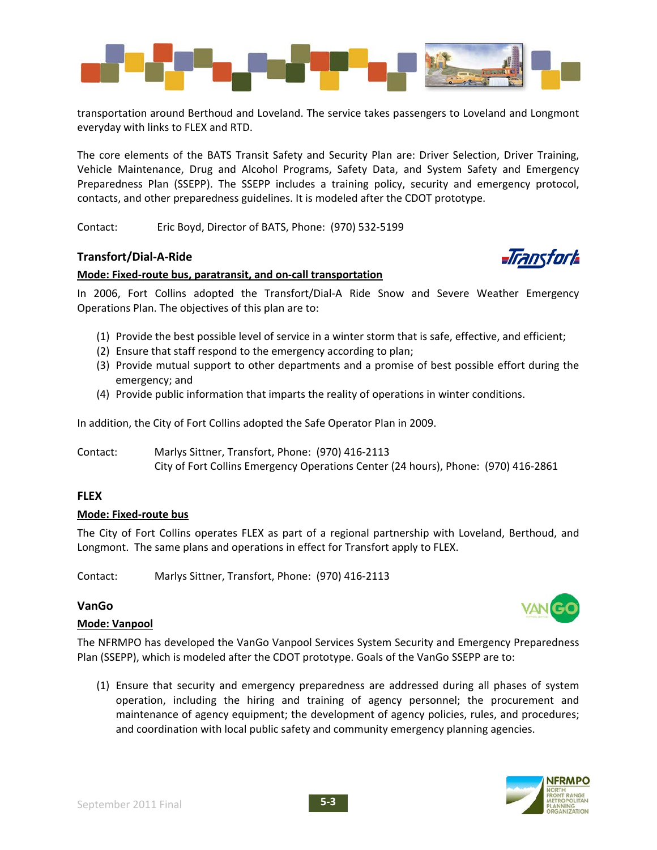

transportation around Berthoud and Loveland. The service takes passengers to Loveland and Longmont everyday with links to FLEX and RTD.

The core elements of the BATS Transit Safety and Security Plan are: Driver Selection, Driver Training, Vehicle Maintenance, Drug and Alcohol Programs, Safety Data, and System Safety and Emergency Preparedness Plan (SSEPP). The SSEPP includes a training policy, security and emergency protocol, contacts, and other preparedness guidelines. It is modeled after the CDOT prototype.

Contact: Eric Boyd, Director of BATS, Phone: (970) 532‐5199

## **Transfort/Dial‐A‐Ride**

#### **Mode: Fixed‐route bus, paratransit, and on‐call transportation**

In 2006, Fort Collins adopted the Transfort/Dial-A Ride Snow and Severe Weather Emergency Operations Plan. The objectives of this plan are to:

- (1) Provide the best possible level of service in a winter storm that is safe, effective, and efficient;
- (2) Ensure that staff respond to the emergency according to plan;
- (3) Provide mutual support to other departments and a promise of best possible effort during the emergency; and
- (4) Provide public information that imparts the reality of operations in winter conditions.

In addition, the City of Fort Collins adopted the Safe Operator Plan in 2009.

Contact: Marlys Sittner, Transfort, Phone: (970) 416‐2113 City of Fort Collins Emergency Operations Center (24 hours), Phone: (970) 416‐2861

## **FLEX**

#### **Mode: Fixed‐route bus**

The City of Fort Collins operates FLEX as part of a regional partnership with Loveland, Berthoud, and Longmont. The same plans and operations in effect for Transfort apply to FLEX.

Contact: Marlys Sittner, Transfort, Phone: (970) 416‐2113

## **VanGo**

#### **Mode: Vanpool**

The NFRMPO has developed the VanGo Vanpool Services System Security and Emergency Preparedness Plan (SSEPP), which is modeled after the CDOT prototype. Goals of the VanGo SSEPP are to:

(1) Ensure that security and emergency preparedness are addressed during all phases of system operation, including the hiring and training of agency personnel; the procurement and maintenance of agency equipment; the development of agency policies, rules, and procedures; and coordination with local public safety and community emergency planning agencies.





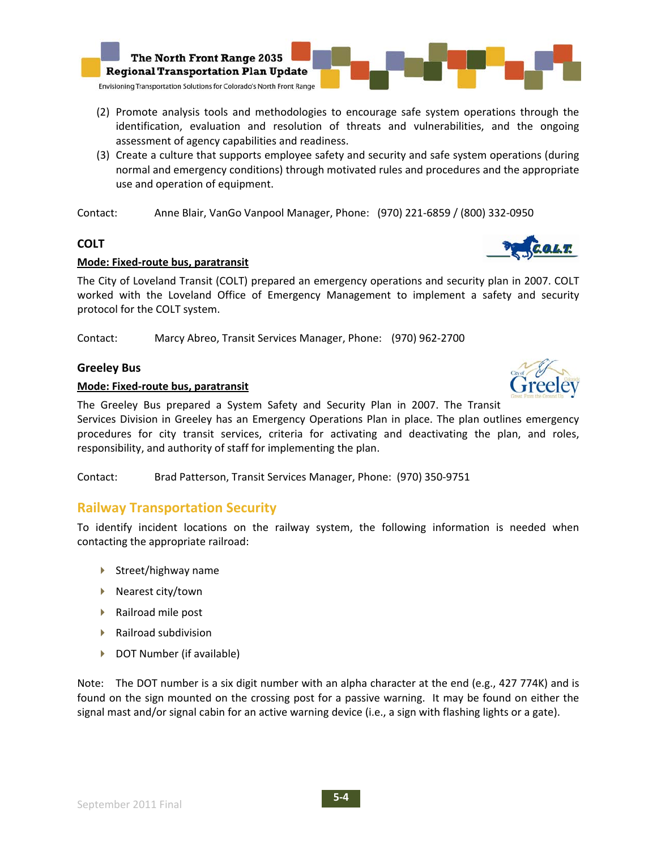

- (2) Promote analysis tools and methodologies to encourage safe system operations through the identification, evaluation and resolution of threats and vulnerabilities, and the ongoing assessment of agency capabilities and readiness.
- (3) Create a culture that supports employee safety and security and safe system operations (during normal and emergency conditions) through motivated rules and procedures and the appropriate use and operation of equipment.

Contact: Anne Blair, VanGo Vanpool Manager, Phone: (970) 221‐6859 / (800) 332‐0950

## **COLT**

## **Mode: Fixed‐route bus, paratransit**

The City of Loveland Transit (COLT) prepared an emergency operations and security plan in 2007. COLT worked with the Loveland Office of Emergency Management to implement a safety and security protocol for the COLT system.

Contact: Marcy Abreo, Transit Services Manager, Phone: (970) 962‐2700

## **Greeley Bus**

## **Mode: Fixed‐route bus, paratransit**

The Greeley Bus prepared a System Safety and Security Plan in 2007. The Transit

Services Division in Greeley has an Emergency Operations Plan in place. The plan outlines emergency procedures for city transit services, criteria for activating and deactivating the plan, and roles, responsibility, and authority of staff for implementing the plan.

Contact: Brad Patterson, Transit Services Manager, Phone: (970) 350‐9751

## **Railway Transportation Security**

To identify incident locations on the railway system, the following information is needed when contacting the appropriate railroad:

- $\blacktriangleright$  Street/highway name
- $\blacktriangleright$  Nearest city/town
- ▶ Railroad mile post
- $\blacktriangleright$  Railroad subdivision
- ▶ DOT Number (if available)

Note: The DOT number is a six digit number with an alpha character at the end (e.g., 427 774K) and is found on the sign mounted on the crossing post for a passive warning. It may be found on either the signal mast and/or signal cabin for an active warning device (i.e., a sign with flashing lights or a gate).

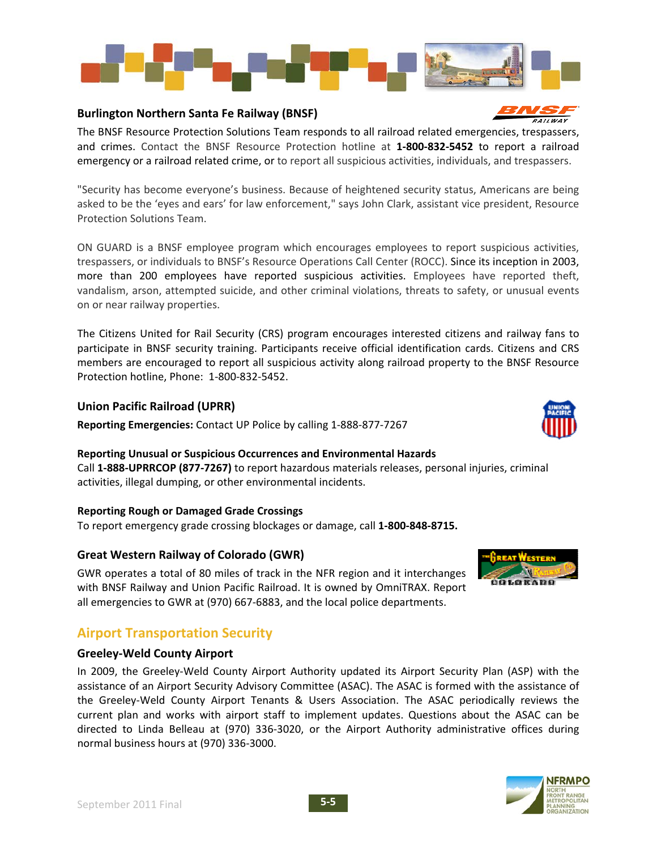

#### **Burlington Northern Santa Fe Railway (BNSF)**

The BNSF Resource Protection Solutions Team responds to all railroad related emergencies, trespassers, and crimes. Contact the BNSF Resource Protection hotline at **1‐800‐832‐5452** to report a railroad emergency or a railroad related crime, or to report all suspicious activities, individuals, and trespassers.

"Security has become everyone's business. Because of heightened security status, Americans are being asked to be the 'eyes and ears' for law enforcement," says John Clark, assistant vice president, Resource Protection Solutions Team.

ON GUARD is a BNSF employee program which encourages employees to report suspicious activities, trespassers, or individuals to BNSF's Resource Operations Call Center (ROCC). Since its inception in 2003, more than 200 employees have reported suspicious activities. Employees have reported theft, vandalism, arson, attempted suicide, and other criminal violations, threats to safety, or unusual events on or near railway properties.

The Citizens United for Rail Security (CRS) program encourages interested citizens and railway fans to participate in BNSF security training. Participants receive official identification cards. Citizens and CRS members are encouraged to report all suspicious activity along railroad property to the BNSF Resource Protection hotline, Phone: 1‐800‐832‐5452.

## **Union Pacific Railroad (UPRR)**

**Reporting Emergencies:** Contact UP Police by calling 1‐888‐877‐7267

#### **Reporting Unusual or Suspicious Occurrences and Environmental Hazards**

Call **1‐888‐UPRRCOP (877‐7267)** to report hazardous materials releases, personal injuries, criminal activities, illegal dumping, or other environmental incidents.

#### **Reporting Rough or Damaged Grade Crossings**

To report emergency grade crossing blockages or damage, call **1‐800‐848‐8715.**

## **Great Western Railway of Colorado (GWR)**

GWR operates a total of 80 miles of track in the NFR region and it interchanges with BNSF Railway and Union Pacific Railroad. It is owned by OmniTRAX. Report all emergencies to GWR at (970) 667‐6883, and the local police departments.



## **Airport Transportation Security**

#### **Greeley‐Weld County Airport**

In 2009, the Greeley‐Weld County Airport Authority updated its Airport Security Plan (ASP) with the assistance of an Airport Security Advisory Committee (ASAC). The ASAC is formed with the assistance of the Greeley‐Weld County Airport Tenants & Users Association. The ASAC periodically reviews the current plan and works with airport staff to implement updates. Questions about the ASAC can be directed to Linda Belleau at (970) 336‐3020, or the Airport Authority administrative offices during normal business hours at (970) 336‐3000.